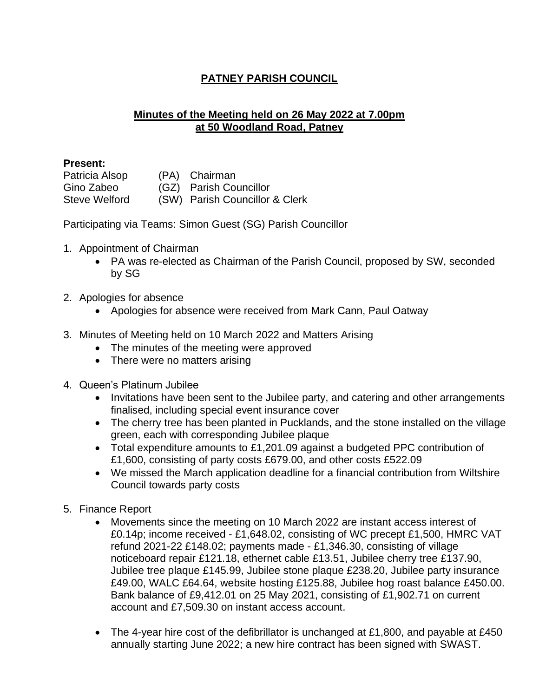## **PATNEY PARISH COUNCIL**

## **Minutes of the Meeting held on 26 May 2022 at 7.00pm at 50 Woodland Road, Patney**

## **Present:**

Patricia Alsop (PA) Chairman Gino Zabeo (GZ) Parish Councillor Steve Welford (SW) Parish Councillor & Clerk

Participating via Teams: Simon Guest (SG) Parish Councillor

- 1. Appointment of Chairman
	- PA was re-elected as Chairman of the Parish Council, proposed by SW, seconded by SG
- 2. Apologies for absence
	- Apologies for absence were received from Mark Cann, Paul Oatway
- 3. Minutes of Meeting held on 10 March 2022 and Matters Arising
	- The minutes of the meeting were approved
	- There were no matters arising
- 4. Queen's Platinum Jubilee
	- Invitations have been sent to the Jubilee party, and catering and other arrangements finalised, including special event insurance cover
	- The cherry tree has been planted in Pucklands, and the stone installed on the village green, each with corresponding Jubilee plaque
	- Total expenditure amounts to £1,201.09 against a budgeted PPC contribution of £1,600, consisting of party costs £679.00, and other costs £522.09
	- We missed the March application deadline for a financial contribution from Wiltshire Council towards party costs
- 5. Finance Report
	- Movements since the meeting on 10 March 2022 are instant access interest of £0.14p; income received - £1,648.02, consisting of WC precept £1,500, HMRC VAT refund 2021-22 £148.02; payments made - £1,346.30, consisting of village noticeboard repair £121.18, ethernet cable £13.51, Jubilee cherry tree £137.90, Jubilee tree plaque £145.99, Jubilee stone plaque £238.20, Jubilee party insurance £49.00, WALC £64.64, website hosting £125.88, Jubilee hog roast balance £450.00. Bank balance of £9,412.01 on 25 May 2021, consisting of £1,902.71 on current account and £7,509.30 on instant access account.
	- The 4-year hire cost of the defibrillator is unchanged at £1,800, and payable at £450 annually starting June 2022; a new hire contract has been signed with SWAST.